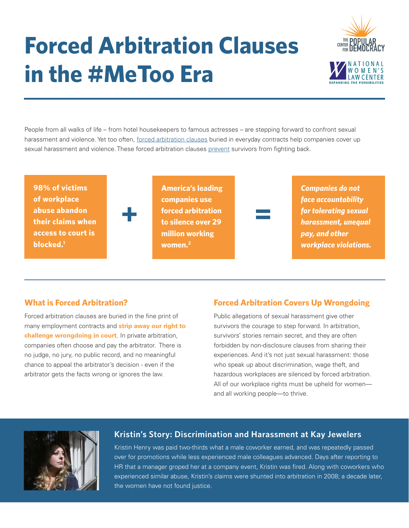# **Forced Arbitration Clauses in the #MeToo Era**



People from all walks of life – from hotel housekeepers to famous actresses – are stepping forward to confront sexual harassment and violence. Yet too often, [forced arbitration clauses](https://www.usnews.com/opinion/articles/2016-09-28/fox-news-forced-arbitration-keeps-sexual-harassment-under-wraps) buried in everyday contracts help companies cover up sexual harassment and violence. These forced arbitration clauses prevent survivors from fighting back.

**98% of victims of workplace abuse abandon their claims when access to court is blocked.1**



**America's leading companies use forced arbitration to silence over 29 million working women.2 + =**



*Companies do not face accountability for tolerating sexual harassment, unequal pay, and other workplace violations.*

## **What is Forced Arbitration?**

Forced arbitration clauses are buried in the fine print of many employment contracts and **strip away our right to challenge wrongdoing in court**. In private arbitration, companies often choose and pay the arbitrator. There is no judge, no jury, no public record, and no meaningful chance to appeal the arbitrator's decision - even if the arbitrator gets the facts wrong or ignores the law.

## **Forced Arbitration Covers Up Wrongdoing**

Public allegations of sexual harassment give other survivors the courage to step forward. In arbitration, survivors' stories remain secret, and they are often forbidden by non-disclosure clauses from sharing their experiences. And it's not just sexual harassment: those who speak up about discrimination, wage theft, and hazardous workplaces are silenced by forced arbitration. All of our workplace rights must be upheld for womenand all working people—to thrive.



#### **Kristin's Story: Discrimination and Harassment at Kay Jewelers**

Kristin Henry was paid two-thirds what a male coworker earned, and was repeatedly passed over for promotions while less experienced male colleagues advanced. Days after reporting to HR that a manager groped her at a company event, Kristin was fired. Along with coworkers who experienced similar abuse, Kristin's claims were shunted into arbitration in 2008; a decade later, the women have not found justice.